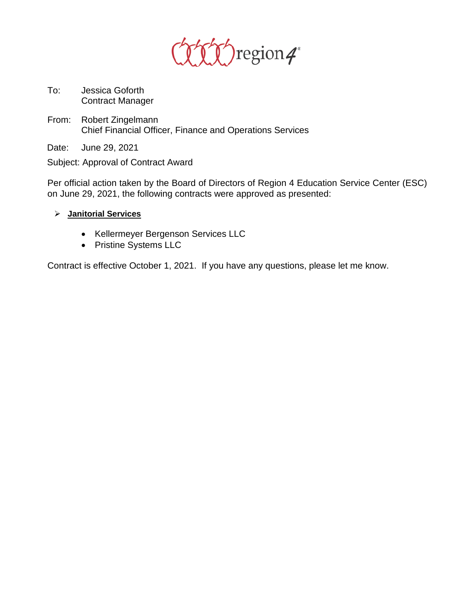

- To: Jessica Goforth Contract Manager
- From: Robert Zingelmann Chief Financial Officer, Finance and Operations Services
- Date: June 29, 2021

Subject: Approval of Contract Award

Per official action taken by the Board of Directors of Region 4 Education Service Center (ESC) on June 29, 2021, the following contracts were approved as presented:

- **Janitorial Services**
	- Kellermeyer Bergenson Services LLC
	- Pristine Systems LLC

Contract is effective October 1, 2021. If you have any questions, please let me know.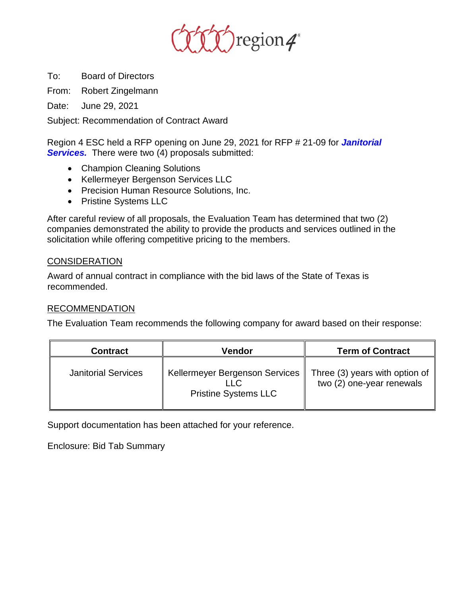

To: Board of Directors

From: Robert Zingelmann

Date: June 29, 2021

Subject: Recommendation of Contract Award

Region 4 ESC held a RFP opening on June 29, 2021 for RFP # 21-09 for *Janitorial*  **Services.** There were two (4) proposals submitted:

- Champion Cleaning Solutions
- Kellermeyer Bergenson Services LLC
- Precision Human Resource Solutions, Inc.
- Pristine Systems LLC

After careful review of all proposals, the Evaluation Team has determined that two (2) companies demonstrated the ability to provide the products and services outlined in the solicitation while offering competitive pricing to the members.

## **CONSIDERATION**

Award of annual contract in compliance with the bid laws of the State of Texas is recommended.

## RECOMMENDATION

The Evaluation Team recommends the following company for award based on their response:

| <b>Contract</b>            | Vendor                                                                | <b>Term of Contract</b>                                     |
|----------------------------|-----------------------------------------------------------------------|-------------------------------------------------------------|
| <b>Janitorial Services</b> | Kellermeyer Bergenson Services<br>II C<br><b>Pristine Systems LLC</b> | Three (3) years with option of<br>two (2) one-year renewals |

Support documentation has been attached for your reference.

Enclosure: Bid Tab Summary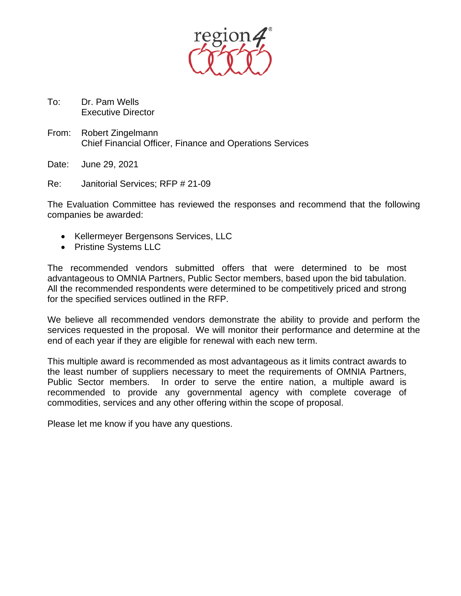

- To: Dr. Pam Wells Executive Director
- From: Robert Zingelmann Chief Financial Officer, Finance and Operations Services

Date: June 29, 2021

Re: Janitorial Services; RFP # 21-09

The Evaluation Committee has reviewed the responses and recommend that the following companies be awarded:

- Kellermeyer Bergensons Services, LLC
- Pristine Systems LLC

The recommended vendors submitted offers that were determined to be most advantageous to OMNIA Partners, Public Sector members, based upon the bid tabulation. All the recommended respondents were determined to be competitively priced and strong for the specified services outlined in the RFP.

We believe all recommended vendors demonstrate the ability to provide and perform the services requested in the proposal. We will monitor their performance and determine at the end of each year if they are eligible for renewal with each new term.

This multiple award is recommended as most advantageous as it limits contract awards to the least number of suppliers necessary to meet the requirements of OMNIA Partners, Public Sector members. In order to serve the entire nation, a multiple award is recommended to provide any governmental agency with complete coverage of commodities, services and any other offering within the scope of proposal.

Please let me know if you have any questions.